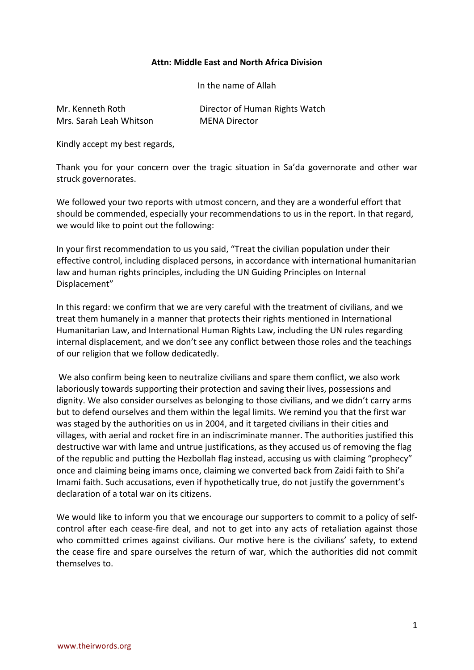## **Attn: Middle East and North Africa Division**

In the name of Allah

| Mr. Kenneth Roth        | Director of Human Rights Watch |
|-------------------------|--------------------------------|
| Mrs. Sarah Leah Whitson | <b>MENA Director</b>           |

Kindly accept my best regards,

Thank you for your concern over the tragic situation in Sa'da governorate and other war struck governorates.

We followed your two reports with utmost concern, and they are a wonderful effort that should be commended, especially your recommendations to us in the report. In that regard, we would like to point out the following:

In your first recommendation to us you said, "Treat the civilian population under their effective control, including displaced persons, in accordance with international humanitarian law and human rights principles, including the UN Guiding Principles on Internal Displacement"

In this regard: we confirm that we are very careful with the treatment of civilians, and we treat them humanely in a manner that protects their rights mentioned in International Humanitarian Law, and International Human Rights Law, including the UN rules regarding internal displacement, and we don't see any conflict between those roles and the teachings of our religion that we follow dedicatedly.

We also confirm being keen to neutralize civilians and spare them conflict, we also work laboriously towards supporting their protection and saving their lives, possessions and dignity. We also consider ourselves as belonging to those civilians, and we didn't carry arms but to defend ourselves and them within the legal limits. We remind you that the first war was staged by the authorities on us in 2004, and it targeted civilians in their cities and villages, with aerial and rocket fire in an indiscriminate manner. The authorities justified this destructive war with lame and untrue justifications, as they accused us of removing the flag of the republic and putting the Hezbollah flag instead, accusing us with claiming "prophecy" once and claiming being imams once, claiming we converted back from Zaidi faith to Shi'a Imami faith. Such accusations, even if hypothetically true, do not justify the government's declaration of a total war on its citizens.

We would like to inform you that we encourage our supporters to commit to a policy of selfcontrol after each cease-fire deal, and not to get into any acts of retaliation against those who committed crimes against civilians. Our motive here is the civilians' safety, to extend the cease fire and spare ourselves the return of war, which the authorities did not commit themselves to.